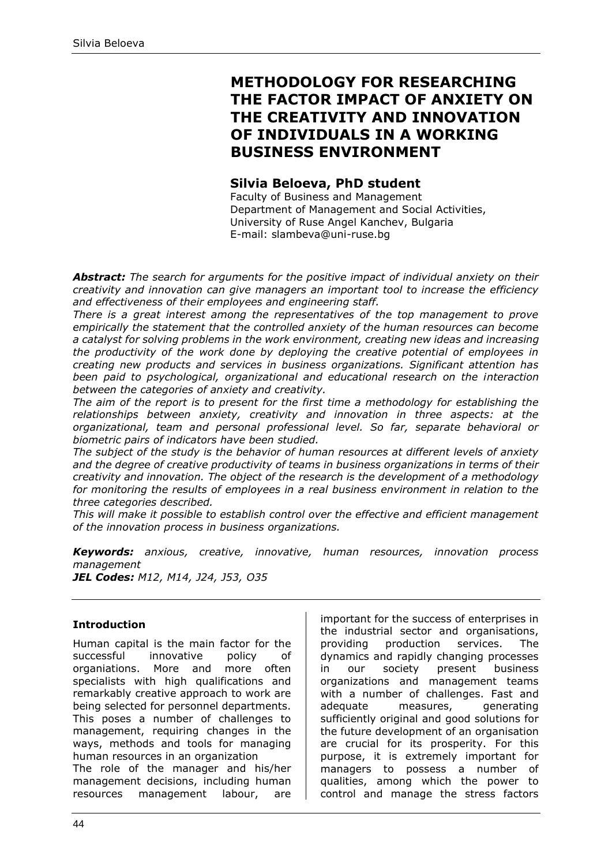# **METHODOLOGY FOR RESEARCHING THE FACTOR IMPACT OF ANXIETY ON THE CREATIVITY AND INNOVATION OF INDIVIDUALS IN A WORKING BUSINESS ENVIRONMENT**

# **Silvia Beloeva, PhD student**

Faculty of Business and Management Department of Management and Social Activities, University of Ruse Angel Kanchev, Bulgaria E-mail: slambeva@uni-ruse.bg

*Abstract: The search for arguments for the positive impact of individual anxiety on their creativity and innovation can give managers an important tool to increase the efficiency and effectiveness of their employees and engineering staff.*

*There is a great interest among the representatives of the top management to prove empirically the statement that the controlled anxiety of the human resources can become a catalyst for solving problems in the work environment, creating new ideas and increasing the productivity of the work done by deploying the creative potential of employees in creating new products and services in business organizations. Significant attention has been paid to psychological, organizational and educational research on the interaction between the categories of anxiety and creativity.*

*The aim of the report is to present for the first time a methodology for establishing the relationships between anxiety, creativity and innovation in three aspects: at the organizational, team and personal professional level. So far, separate behavioral or biometric pairs of indicators have been studied.*

*The subject of the study is the behavior of human resources at different levels of anxiety and the degree of creative productivity of teams in business organizations in terms of their creativity and innovation. The object of the research is the development of a methodology for monitoring the results of employees in a real business environment in relation to the three categories described.*

*This will make it possible to establish control over the effective and efficient management of the innovation process in business organizations.*

*Keywords: anxious, creative, innovative, human resources, innovation process management*

*JEL Codes: M12, M14, J24, J53, O35*

## **Introduction**

Human capital is the main factor for the successful innovative policy of organiations. More and more often specialists with high qualifications and remarkably creative approach to work are being selected for personnel departments. This poses a number of challenges to management, requiring changes in the ways, methods and tools for managing human resources in an organization

The role of the manager and his/her management decisions, including human resources management labour, are important for the success of enterprises in the industrial sector and organisations, providing production services. The dynamics and rapidly changing processes in our society present business organizations and management teams with a number of challenges. Fast and adequate measures, generating sufficiently original and good solutions for the future development of an organisation are crucial for its prosperity. For this purpose, it is extremely important for managers to possess a number of qualities, among which the power to control and manage the stress factors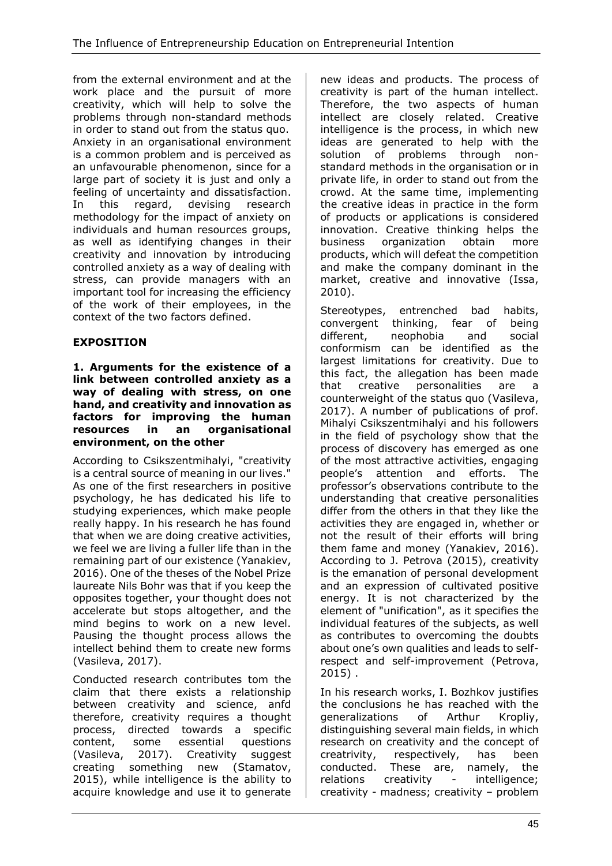from the external environment and at the work place and the pursuit of more creativity, which will help to solve the problems through non-standard methods in order to stand out from the status quo. Anxiety in an organisational environment is a common problem and is perceived as an unfavourable phenomenon, since for a large part of society it is just and only a feeling of uncertainty and dissatisfaction. In this regard, devising research methodology for the impact of anxiety on individuals and human resources groups, as well as identifying changes in their creativity and innovation by introducing controlled anxiety as a way of dealing with stress, can provide managers with an important tool for increasing the efficiency of the work of their employees, in the context of the two factors defined.

# **EXPOSITION**

#### **1. Arguments for the existence of a link between controlled anxiety as a way of dealing with stress, on one hand, and creativity and innovation as factors for improving the human resources in an organisational environment, on the other**

According to Csikszentmihalyi, "creativity is a central source of meaning in our lives." As one of the first researchers in positive psychology, he has dedicated his life to studying experiences, which make people really happy. In his research he has found that when we are doing creative activities, we feel we are living a fuller life than in the remaining part of our existence (Yanakiev, 2016). One of the theses of the Nobel Prize laureate Nils Bohr was that if you keep the opposites together, your thought does not accelerate but stops altogether, and the mind begins to work on a new level. Pausing the thought process allows the intellect behind them to create new forms (Vasileva, 2017).

Conducted research contributes tom the claim that there exists a relationship between creativity and science, anfd therefore, creativity requires a thought process, directed towards a specific content, some essential questions (Vasileva, 2017). Creativity suggest creating something new (Stamatov, 2015), while intelligence is the ability to acquire knowledge and use it to generate

new ideas and products. The process of creativity is part of the human intellect. Therefore, the two aspects of human intellect are closely related. Creative intelligence is the process, in which new ideas are generated to help with the solution of problems through nonstandard methods in the organisation or in private life, in order to stand out from the crowd. At the same time, implementing the creative ideas in practice in the form of products or applications is considered innovation. Creative thinking helps the business organization obtain more products, which will defeat the competition and make the company dominant in the market, creative and innovative (Issa, 2010).

Stereotypes, entrenched bad habits, convergent thinking, fear of being different, neophobia and social conformism can be identified as the largest limitations for creativity. Due to this fact, the allegation has been made that creative personalities are a counterweight of the status quo (Vasileva, 2017). A number of publications of prof. Mihalyi Csikszentmihalyi and his followers in the field of psychology show that the process of discovery has emerged as one of the most attractive activities, engaging people's attention and efforts. The professor's observations contribute to the understanding that creative personalities differ from the others in that they like the activities they are engaged in, whether or not the result of their efforts will bring them fame and money (Yanakiev, 2016). According to J. Petrova (2015), creativity is the emanation of personal development and an expression of cultivated positive energy. It is not characterized by the element of "unification", as it specifies the individual features of the subjects, as well as contributes to overcoming the doubts about one's own qualities and leads to selfrespect and self-improvement (Petrova, 2015) .

In his research works, I. Bozhkov justifies the conclusions he has reached with the generalizations of Arthur Kropliy, distinguishing several main fields, in which research on creativity and the concept of creatrivity, respectively, has been conducted. These are, namely, the relations creativity - intelligence; creativity - madness; creativity – problem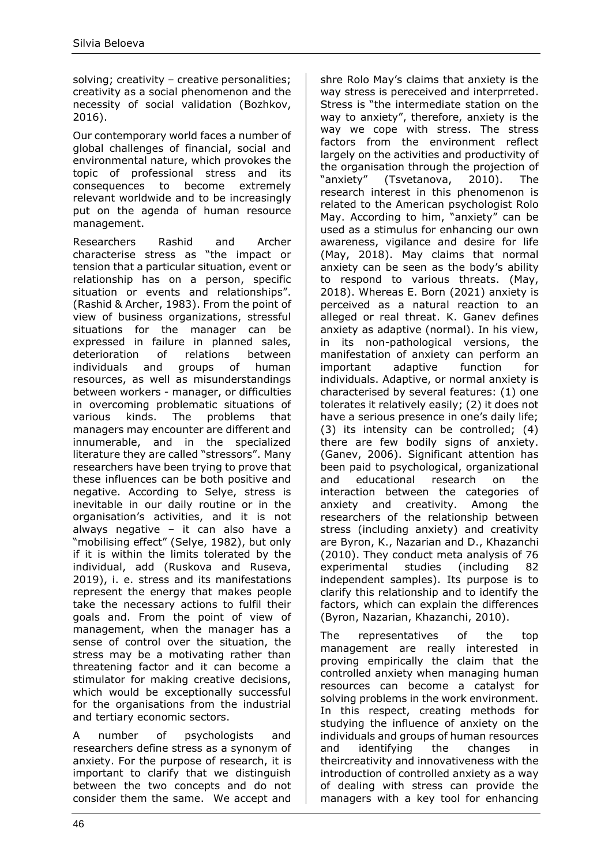solving; creativity - creative personalities; creativity as a social phenomenon and the necessity of social validation (Bozhkov, 2016).

Our contemporary world faces a number of global challenges of financial, social and environmental nature, which provokes the topic of professional stress and its consequences to become extremely relevant worldwide and to be increasingly put on the agenda of human resource management.

Researchers Rashid and Archer characterise stress as "the impact or tension that a particular situation, event or relationship has on a person, specific situation or events and relationships". (Rashid & Archer, 1983). From the point of view of business organizations, stressful situations for the manager can be expressed in failure in planned sales, deterioration of relations between individuals and groups of human resources, as well as misunderstandings between workers - manager, or difficulties in overcoming problematic situations of various kinds. The problems that managers may encounter are different and innumerable, and in the specialized literature they are called "stressors". Many researchers have been trying to prove that these influences can be both positive and negative. According to Selye, stress is inevitable in our daily routine or in the organisation's activities, and it is not always negative – it can also have a "mobilising effect" (Selye, 1982), but only if it is within the limits tolerated by the individual, add (Ruskova and Ruseva, 2019), i. e. stress and its manifestations represent the energy that makes people take the necessary actions to fulfil their goals and. From the point of view of management, when the manager has a sense of control over the situation, the stress may be a motivating rather than threatening factor and it can become a stimulator for making creative decisions, which would be exceptionally successful for the organisations from the industrial and tertiary economic sectors.

A number of psychologists and researchers define stress as a synonym of anxiety. For the purpose of research, it is important to clarify that we distinguish between the two concepts and do not consider them the same. We accept and shre Rolo May's claims that anxiety is the way stress is pereceived and interprreted. Stress is "the intermediate station on the way to anxiety", therefore, anxiety is the way we cope with stress. The stress factors from the environment reflect largely on the activities and productivity of the organisation through the projection of "anxiety" (Tsvetanova, 2010). The research interest in this phenomenon is related to the American psychologist Rolo May. According to him, "anxiety" can be used as a stimulus for enhancing our own awareness, vigilance and desire for life (May, 2018). May claims that normal anxiety can be seen as the body's ability to respond to various threats. (May, 2018). Whereas E. Born (2021) anxiety is perceived as a natural reaction to an alleged or real threat. K. Ganev defines anxiety as adaptive (normal). In his view, in its non-pathological versions, the manifestation of anxiety can perform an important adaptive function for individuals. Adaptive, or normal anxiety is characterised by several features: (1) one tolerates it relatively easily; (2) it does not have a serious presence in one's daily life; (3) its intensity can be controlled; (4) there are few bodily signs of anxiety. (Ganev, 2006). Significant attention has been paid to psychological, organizational and educational research on the interaction between the categories of anxiety and creativity. Among the researchers of the relationship between stress (including anxiety) and creativity are Byron, K., Nazarian and D., Khazanchi (2010). They conduct meta analysis of 76 experimental studies (including 82 independent samples). Its purpose is to clarify this relationship and to identify the factors, which can explain the differences (Byron, Nazarian, Khazanchi, 2010).

The representatives of the top management are really interested in proving empirically the claim that the controlled anxiety when managing human resources can become a catalyst for solving problems in the work environment. In this respect, creating methods for studying the influence of anxiety on the individuals and groups of human resources and identifying the changes in theircreativity and innovativeness with the introduction of controlled anxiety as a way of dealing with stress can provide the managers with a key tool for enhancing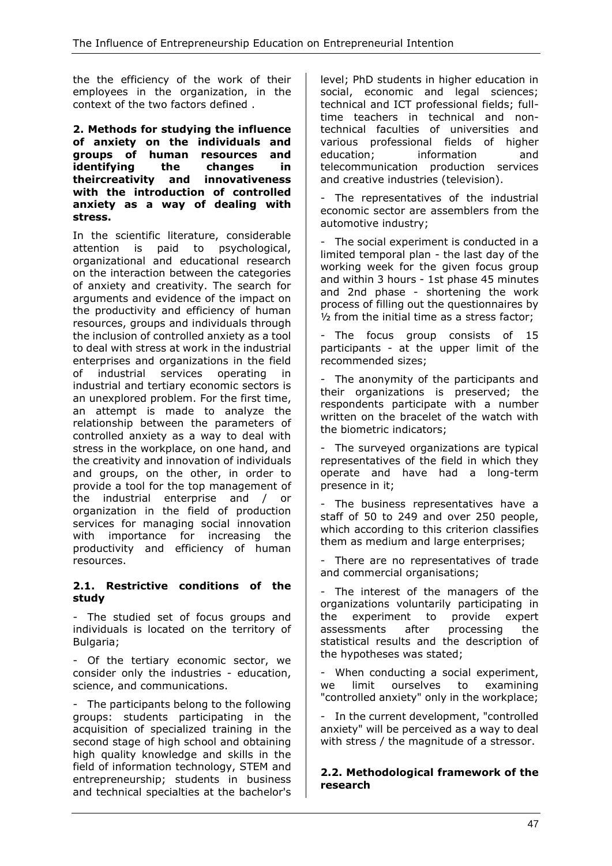the the efficiency of the work of their employees in the organization, in the context of the two factors defined .

#### **2. Methods for studying the influence of anxiety on the individuals and groups of human resources and identifying the changes in theircreativity and innovativeness with the introduction of controlled anxiety as a way of dealing with stress.**

In the scientific literature, considerable attention is paid to psychological, organizational and educational research on the interaction between the categories of anxiety and creativity. The search for arguments and evidence of the impact on the productivity and efficiency of human resources, groups and individuals through the inclusion of controlled anxiety as a tool to deal with stress at work in the industrial enterprises and organizations in the field of industrial services operating in industrial and tertiary economic sectors is an unexplored problem. For the first time, an attempt is made to analyze the relationship between the parameters of controlled anxiety as a way to deal with stress in the workplace, on one hand, and the creativity and innovation of individuals and groups, on the other, in order to provide a tool for the top management of the industrial enterprise and / or organization in the field of production services for managing social innovation with importance for increasing the productivity and efficiency of human resources.

## **2.1. Restrictive conditions of the study**

- The studied set of focus groups and individuals is located on the territory of Bulgaria;

- Of the tertiary economic sector, we consider only the industries - education, science, and communications.

- The participants belong to the following groups: students participating in the acquisition of specialized training in the second stage of high school and obtaining high quality knowledge and skills in the field of information technology, STEM and entrepreneurship; students in business and technical specialties at the bachelor's level; PhD students in higher education in social, economic and legal sciences; technical and ICT professional fields; fulltime teachers in technical and nontechnical faculties of universities and various professional fields of higher education: information and telecommunication production services and creative industries (television).

- The representatives of the industrial economic sector are assemblers from the automotive industry;

The social experiment is conducted in a limited temporal plan - the last day of the working week for the given focus group and within 3 hours - 1st phase 45 minutes and 2nd phase - shortening the work process of filling out the questionnaires by ½ from the initial time as a stress factor;

The focus group consists of 15 participants - at the upper limit of the recommended sizes;

- The anonymity of the participants and their organizations is preserved; the respondents participate with a number written on the bracelet of the watch with the biometric indicators;

- The surveyed organizations are typical representatives of the field in which they operate and have had a long-term presence in it;

- The business representatives have a staff of 50 to 249 and over 250 people, which according to this criterion classifies them as medium and large enterprises;

- There are no representatives of trade and commercial organisations;

- The interest of the managers of the organizations voluntarily participating in the experiment to provide expert assessments after processing the statistical results and the description of the hypotheses was stated;

- When conducting a social experiment, we limit ourselves to examining "controlled anxiety" only in the workplace;

- In the current development, "controlled anxiety" will be perceived as a way to deal with stress / the magnitude of a stressor.

#### **2.2. Methodological framework of the research**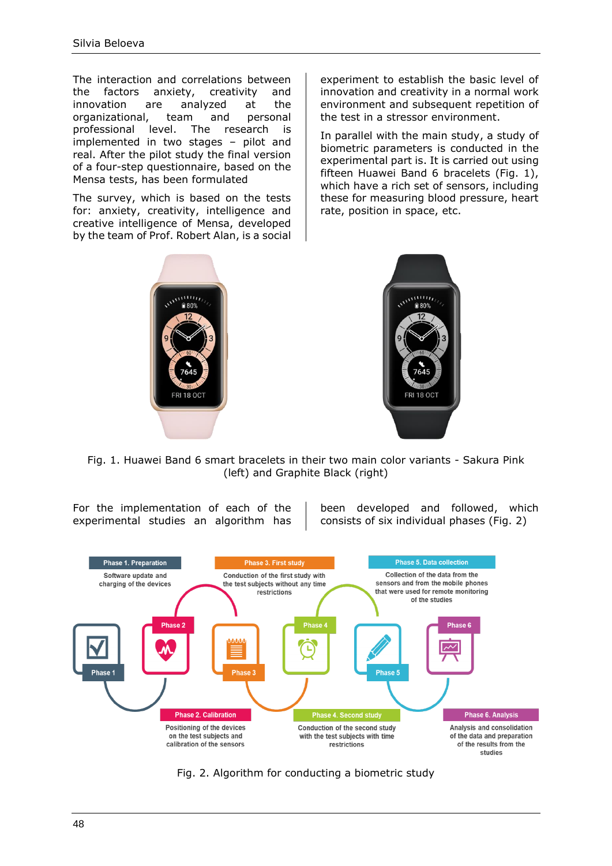The interaction and correlations between the factors anxiety, creativity and innovation are analyzed at the organizational, team and personal professional level. The research is implemented in two stages – pilot and real. After the pilot study the final version of a four-step questionnaire, based on the Mensa tests, has been formulated

The survey, which is based on the tests for: anxiety, creativity, intelligence and creative intelligence of Mensa, developed by the team of Prof. Robert Alan, is a social experiment to establish the basic level of innovation and creativity in a normal work environment and subsequent repetition of the test in a stressor environment.

In parallel with the main study, a study of biometric parameters is conducted in the experimental part is. It is carried out using fifteen Huawei Band 6 bracelets (Fig. 1), which have a rich set of sensors, including these for measuring blood pressure, heart rate, position in space, etc.





Fig. 1. Huawei Band 6 smart bracelets in their two main color variants - Sakura Pink (left) and Graphite Black (right)

For the implementation of each of the experimental studies an algorithm has

been developed and followed, which consists of six individual phases (Fig. 2)



Fig. 2. Algorithm for conducting a biometric study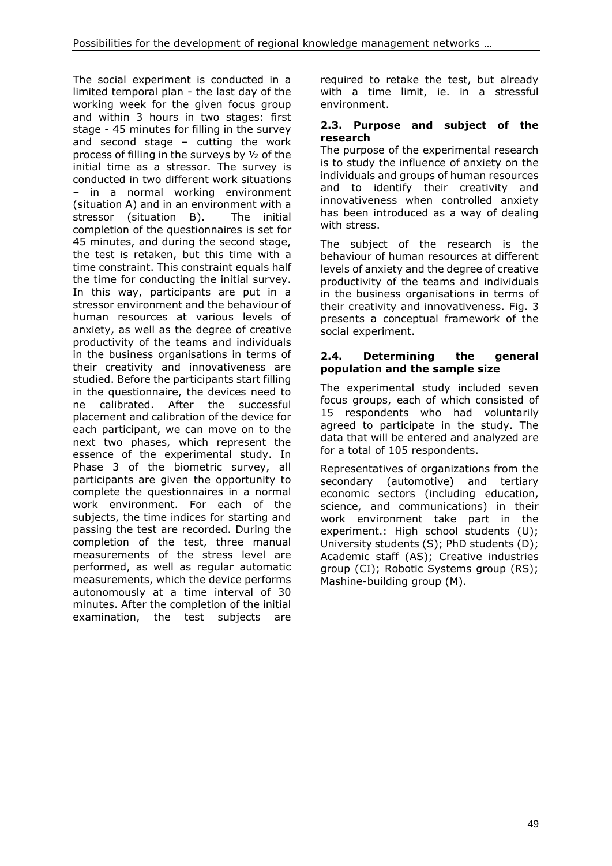The social experiment is conducted in a limited temporal plan - the last day of the working week for the given focus group and within 3 hours in two stages: first stage - 45 minutes for filling in the survey and second stage – cutting the work process of filling in the surveys by ½ of the initial time as a stressor. The survey is conducted in two different work situations – in a normal working environment (situation A) and in an environment with a stressor (situation B). The initial completion of the questionnaires is set for 45 minutes, and during the second stage, the test is retaken, but this time with a time constraint. This constraint equals half the time for conducting the initial survey. In this way, participants are put in a stressor environment and the behaviour of human resources at various levels of anxiety, as well as the degree of creative productivity of the teams and individuals in the business organisations in terms of their creativity and innovativeness are studied. Before the participants start filling in the questionnaire, the devices need to ne calibrated. After the successful placement and calibration of the device for each participant, we can move on to the next two phases, which represent the essence of the experimental study. In Phase 3 of the biometric survey, all participants are given the opportunity to complete the questionnaires in a normal work environment. For each of the subjects, the time indices for starting and passing the test are recorded. During the completion of the test, three manual measurements of the stress level are performed, as well as regular automatic measurements, which the device performs autonomously at a time interval of 30 minutes. After the completion of the initial examination, the test subjects are

required to retake the test, but already with a time limit, ie. in a stressful environment.

## **2.3. Purpose and subject of the research**

The purpose of the experimental research is to study the influence of anxiety on the individuals and groups of human resources and to identify their creativity and innovativeness when controlled anxiety has been introduced as a way of dealing with stress.

The subject of the research is the behaviour of human resources at different levels of anxiety and the degree of creative productivity of the teams and individuals in the business organisations in terms of their creativity and innovativeness. Fig. 3 presents a conceptual framework of the social experiment.

## **2.4. Determining the general population and the sample size**

The experimental study included seven focus groups, each of which consisted of 15 respondents who had voluntarily agreed to participate in the study. The data that will be entered and analyzed are for a total of 105 respondents.

Representatives of organizations from the secondary (automotive) and tertiary economic sectors (including education, science, and communications) in their work environment take part in the experiment.: High school students (U); University students (S); PhD students (D); Academic staff (AS); Creative industries group (CI); Robotic Systems group (RS); Mashine-building group (М).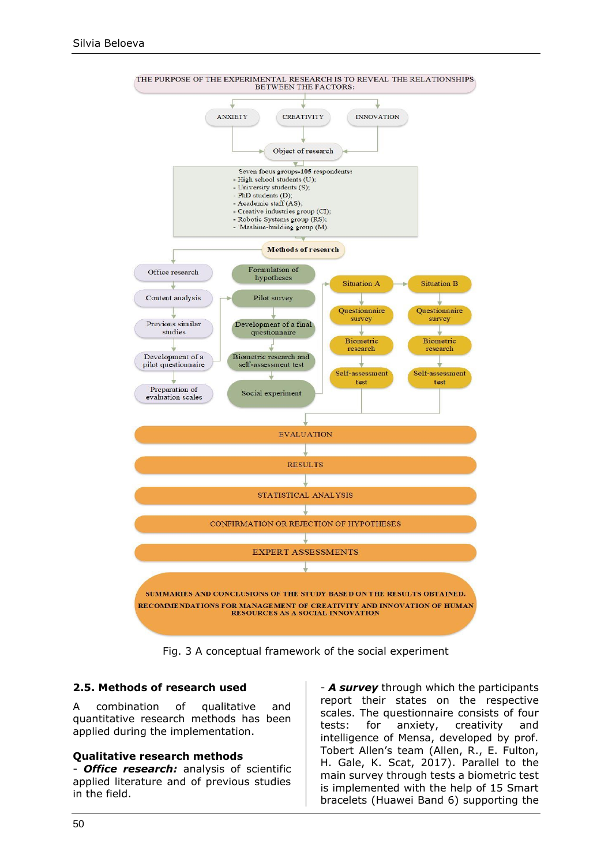

Fig. 3 A conceptual framework of the social experiment

## **2.5. Methods of research used**

A combination of qualitative and quantitative research methods has been applied during the implementation.

#### **Qualitative research methods**

- *Office research:* analysis of scientific applied literature and of previous studies in the field.

- *А survey* through which the participants report their states on the respective scales. The questionnaire consists of four tests: for anxiety, creativity and intelligence of Mensa, developed by prof. Tobert Allen's team (Allen, R., E. Fulton, H. Gale, K. Scat, 2017). Parallel to the main survey through tests a biometric test is implemented with the help of 15 Smart bracelets (Huawei Band 6) supporting the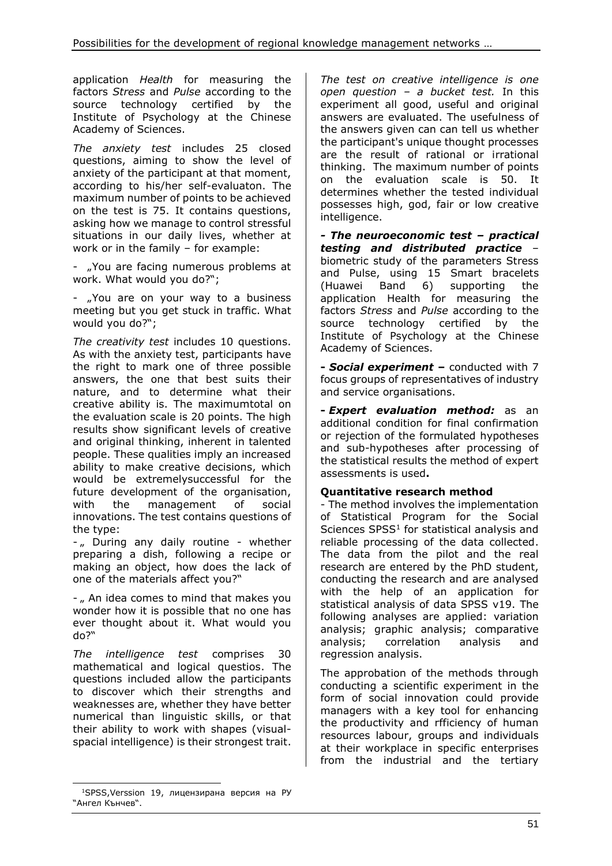application *Health* for measuring the factors *Stress* and *Pulse* according to the source technology certified by the Institute of Psychology at the Chinese Academy of Sciences.

*The anxiety test* includes 25 closed questions, aiming to show the level of anxiety of the participant at that moment, according to his/her self-evaluaton. The maximum number of points to be achieved on the test is 75. It contains questions, asking how we manage to control stressful situations in our daily lives, whether at work or in the family – for example:

- "You are facing numerous problems at work. What would you do?";

- "You are on your way to a business meeting but you get stuck in traffic. What would you do?";

*The creativity test* includes 10 questions. As with the anxiety test, participants have the right to mark one of three possible answers, the one that best suits their nature, and to determine what their creative ability is. The maximumtotal on the evaluation scale is 20 points. The high results show significant levels of creative and original thinking, inherent in talented people. These qualities imply an increased ability to make creative decisions, which would be extremelysuccessful for the future development of the organisation, with the management of social innovations. The test contains questions of the type:

- " During any daily routine - whether preparing a dish, following a recipe or making an object, how does the lack of one of the materials affect you?"

- " An idea comes to mind that makes you wonder how it is possible that no one has ever thought about it. What would you do?"

*The intelligence test* comprises 30 mathematical and logical questios. The questions included allow the participants to discover which their strengths and weaknesses are, whether they have better numerical than linguistic skills, or that their ability to work with shapes (visualspacial intelligence) is their strongest trait.

<sup>1</sup>SPSS,Verssion 19, лицензирана версия на РУ "Ангел Кънчев".

*The test on creative intelligence is one open question – a bucket test.* In this experiment all good, useful and original answers are evaluated. The usefulness of the answers given can can tell us whether the participant's unique thought processes are the result of rational or irrational thinking. The maximum number of points on the evaluation scale is 50. It determines whether the tested individual possesses high, god, fair or low creative intelligence.

*- The neuroeconomic test – practical testing and distributed practice* – biometric study of the parameters Stress and Pulse, using 15 Smart bracelets (Huawei Band 6) supporting the application Health for measuring the factors *Stress* and *Pulse* according to the source technology certified by the Institute of Psychology at the Chinese Academy of Sciences.

**-** *Social experiment* **–** conducted with 7 focus groups of representatives of industry and service organisations.

**-** *Expert evaluation method:* as an additional condition for final confirmation or rejection of the formulated hypotheses and sub-hypotheses after processing of the statistical results the method of expert assessments is used**.**

## **Quantitative research method**

- The method involves the implementation of Statistical Program for the Social Sciences  $SPSS<sup>1</sup>$  for statistical analysis and reliable processing of the data collected. The data from the pilot and the real research are entered by the PhD student, conducting the research and are analysed with the help of an application for statistical analysis of data SPSS v19. The following analyses are applied: variation analysis; graphic analysis; comparative analysis; correlation analysis and regression analysis.

The approbation of the methods through conducting a scientific experiment in the form of social innovation could provide managers with a key tool for enhancing the productivity and rfficiency of human resources labour, groups and individuals at their workplace in specific enterprises from the industrial and the tertiary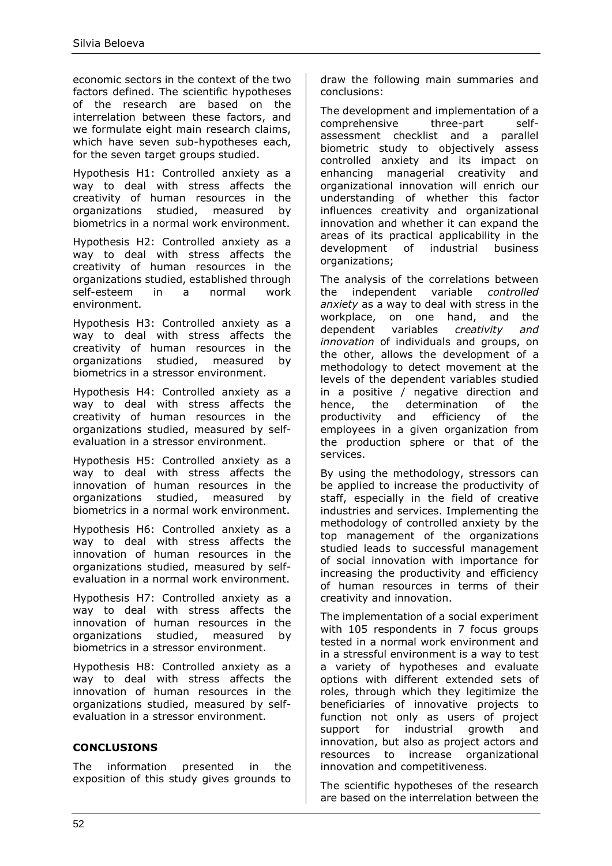economic sectors in the context of the two factors defined. The scientific hypotheses of the research are based on the interrelation between these factors, and we formulate eight main research claims, which have seven sub-hypotheses each, for the seven target groups studied.

Hypothesis H1: Controlled anxiety as a way to deal with stress affects the creativity of human resources in the organizations studied, measured by biometrics in a normal work environment.

Hypothesis H2: Controlled anxiety as a way to deal with stress affects the creativity of human resources in the organizations studied, established through self-esteem in a normal work environment.

Hypothesis H3: Controlled anxiety as a way to deal with stress affects the creativity of human resources in the organizations studied, measured by biometrics in a stressor environment.

Hypothesis H4: Controlled anxiety as a way to deal with stress affects the creativity of human resources in the organizations studied, measured by selfevaluation in a stressor environment.

Hypothesis H5: Controlled anxiety as a way to deal with stress affects the innovation of human resources in the organizations studied, measured by biometrics in a normal work environment.

Hypothesis H6: Controlled anxiety as a way to deal with stress affects the innovation of human resources in the organizations studied, measured by selfevaluation in a normal work environment.

Hypothesis H7: Controlled anxiety as a way to deal with stress affects the innovation of human resources in the organizations studied, measured by biometrics in a stressor environment.

Hypothesis H8: Controlled anxiety as a way to deal with stress affects the innovation of human resources in the organizations studied, measured by selfevaluation in a stressor environment.

# **CONCLUSIONS**

The information presented in the exposition of this study gives grounds to draw the following main summaries and conclusions:

The development and implementation of a comprehensive three-part selfassessment checklist and a parallel biometric study to objectively assess controlled anxiety and its impact on enhancing managerial creativity and organizational innovation will enrich our understanding of whether this factor influences creativity and organizational innovation and whether it can expand the areas of its practical applicability in the development of industrial business organizations;

The analysis of the correlations between the independent variable *controlled anxiety* as a way to deal with stress in the workplace, on one hand, and the dependent variables *creativity and innovation* of individuals and groups, on the other, allows the development of a methodology to detect movement at the levels of the dependent variables studied in a positive / negative direction and hence, the determination of the productivity and efficiency of the employees in a given organization from the production sphere or that of the services.

By using the methodology, stressors can be applied to increase the productivity of staff, especially in the field of creative industries and services. Implementing the methodology of controlled anxiety by the top management of the organizations studied leads to successful management of social innovation with importance for increasing the productivity and efficiency of human resources in terms of their creativity and innovation.

The implementation of a social experiment with 105 respondents in 7 focus groups tested in a normal work environment and in a stressful environment is a way to test a variety of hypotheses and evaluate options with different extended sets of roles, through which they legitimize the beneficiaries of innovative projects to function not only as users of project support for industrial growth and innovation, but also as project actors and resources to increase organizational innovation and competitiveness.

The scientific hypotheses of the research are based on the interrelation between the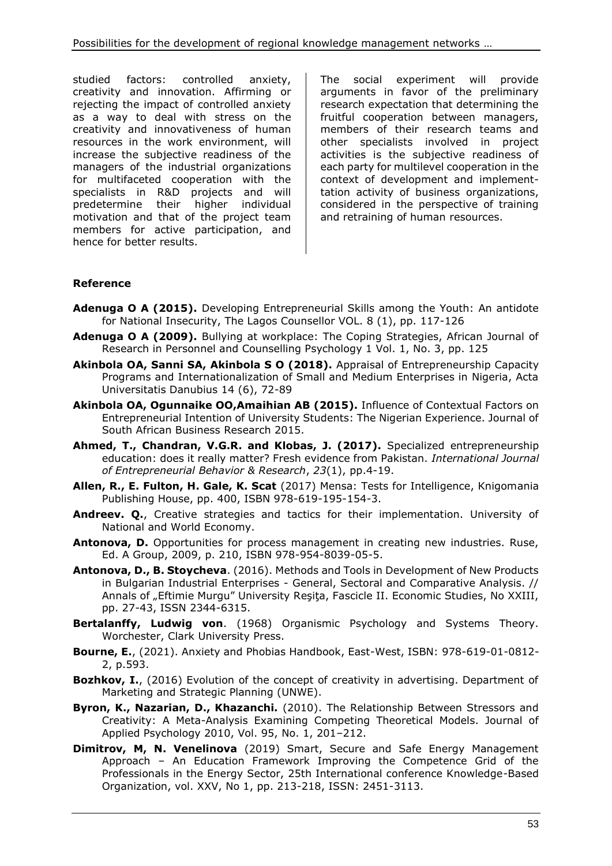studied factors: controlled anxiety, creativity and innovation. Affirming or rejecting the impact of controlled anxiety as a way to deal with stress on the creativity and innovativeness of human resources in the work environment, will increase the subjective readiness of the managers of the industrial organizations for multifaceted cooperation with the specialists in R&D projects and will predetermine their higher individual motivation and that of the project team members for active participation, and hence for better results.

The social experiment will provide arguments in favor of the preliminary research expectation that determining the fruitful cooperation between managers, members of their research teams and other specialists involved in project activities is the subjective readiness of each party for multilevel cooperation in the context of development and implementtation activity of business organizations, considered in the perspective of training and retraining of human resources.

## **Reference**

- **Adenuga O A (2015).** Developing Entrepreneurial Skills among the Youth: An antidote for National Insecurity, The Lagos Counsellor VOL. 8 (1), pp. 117-126
- **Adenuga O A (2009).** Bullying at workplace: The Coping Strategies, African Journal of Research in Personnel and Counselling Psychology 1 Vol. 1, No. 3, pp. 125
- **Akinbola OA, Sanni SA, Akinbola S O (2018).** Appraisal of Entrepreneurship Capacity Programs and Internationalization of Small and Medium Enterprises in Nigeria, Acta Universitatis Danubius 14 (6), 72-89
- **Akinbola OA, Ogunnaike OO,Amaihian AB (2015).** Influence of Contextual Factors on Entrepreneurial Intention of University Students: The Nigerian Experience. Journal of South African Business Research 2015.
- **Ahmed, T., Chandran, V.G.R. and Klobas, J. (2017).** Specialized entrepreneurship education: does it really matter? Fresh evidence from Pakistan. *International Journal of Entrepreneurial Behavior & Research*, *23*(1), pp.4-19.
- **Allen, R., E. Fulton, H. Gale, K. Scat** (2017) Mensa: Tests for Intelligence, Knigomania Publishing House, pp. 400, ISBN 978-619-195-154-3.
- **Andreev. Q.**, Creative strategies and tactics for their implementation. University of National and World Economy.
- **Antonova, D.** Opportunities for process management in creating new industries. Ruse, Ed. A Group, 2009, p. 210, ISBN 978-954-8039-05-5.
- **Antonova, D., B. Stoycheva**. (2016). Methods and Tools in Development of New Products in Bulgarian Industrial Enterprises - General, Sectoral and Comparative Analysis. // Annals of "Eftimie Murgu" University Reşiţa, Fascicle II. Economic Studies, No XXIII, pp. 27-43, ISSN 2344-6315.
- **Bertalanffy, Ludwig von**. (1968) Organismic Psychology and Systems Theory. Worchester, Clark University Press.
- **Bourne, E.**, (2021). Anxiety and Phobias Handbook, East-West, ISBN: 978-619-01-0812- 2, p.593.
- **Bozhkov, I.**, (2016) Evolution of the concept of creativity in advertising. Department of Marketing and Strategic Planning (UNWE).
- **Byron, K., Nazarian, D., Khazanchi.** (2010). The Relationship Between Stressors and Creativity: A Meta-Analysis Examining Competing Theoretical Models. Journal of Applied Psychology 2010, Vol. 95, No. 1, 201–212.
- **Dimitrov, M, N. Venelinova** (2019) Smart, Secure and Safe Energy Management Approach – An Education Framework Improving the Competence Grid of the Professionals in the Energy Sector, 25th International conference Knowledge-Based Organization, vol. XXV, No 1, pp. 213-218, ISSN: 2451-3113.